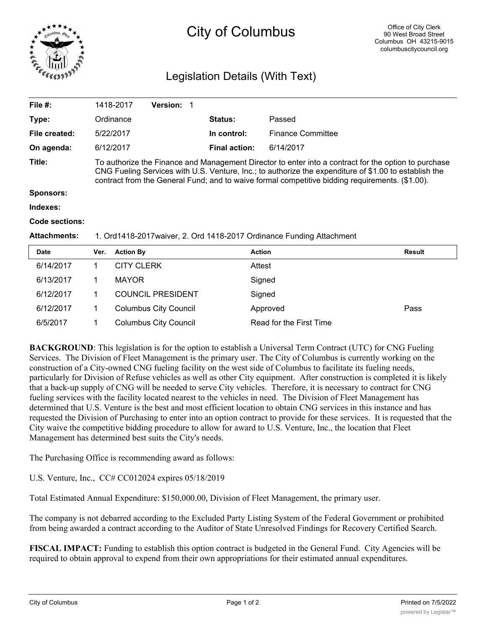

## City of Columbus

## Legislation Details (With Text)

|                                                                                                                                                                                                                                                                                                                  |                  |                                                  |                   | <b>Status:</b>       | Passed                   |                                   |
|------------------------------------------------------------------------------------------------------------------------------------------------------------------------------------------------------------------------------------------------------------------------------------------------------------------|------------------|--------------------------------------------------|-------------------|----------------------|--------------------------|-----------------------------------|
|                                                                                                                                                                                                                                                                                                                  |                  |                                                  |                   | In control:          | <b>Finance Committee</b> |                                   |
|                                                                                                                                                                                                                                                                                                                  |                  |                                                  |                   | <b>Final action:</b> | 6/14/2017                |                                   |
| To authorize the Finance and Management Director to enter into a contract for the option to purchase<br>CNG Fueling Services with U.S. Venture, Inc.; to authorize the expenditure of \$1.00 to establish the<br>contract from the General Fund; and to waive formal competitive bidding requirements. (\$1.00). |                  |                                                  |                   |                      |                          |                                   |
|                                                                                                                                                                                                                                                                                                                  |                  |                                                  |                   |                      |                          |                                   |
|                                                                                                                                                                                                                                                                                                                  |                  |                                                  |                   |                      |                          |                                   |
|                                                                                                                                                                                                                                                                                                                  |                  |                                                  |                   |                      |                          |                                   |
| 1. Ord1418-2017 waiver, 2. Ord 1418-2017 Ordinance Funding Attachment                                                                                                                                                                                                                                            |                  |                                                  |                   |                      |                          |                                   |
| Ver.                                                                                                                                                                                                                                                                                                             | <b>Action By</b> |                                                  |                   |                      |                          | Result                            |
| 1.                                                                                                                                                                                                                                                                                                               |                  |                                                  |                   |                      |                          |                                   |
| 1                                                                                                                                                                                                                                                                                                                | <b>MAYOR</b>     |                                                  |                   |                      |                          |                                   |
|                                                                                                                                                                                                                                                                                                                  |                  | 1418-2017<br>Ordinance<br>5/22/2017<br>6/12/2017 | <b>CITY CLERK</b> | Version: 1           |                          | <b>Action</b><br>Attest<br>Signed |

6/12/2017 1 Columbus City Council Approved Pass 6/5/2017 1 Columbus City Council Read for the First Time

6/12/2017 1 COUNCIL PRESIDENT Signed

**BACKGROUND**: This legislation is for the option to establish a Universal Term Contract (UTC) for CNG Fueling Services. The Division of Fleet Management is the primary user. The City of Columbus is currently working on the construction of a City-owned CNG fueling facility on the west side of Columbus to facilitate its fueling needs, particularly for Division of Refuse vehicles as well as other City equipment. After construction is completed it is likely that a back-up supply of CNG will be needed to serve City vehicles. Therefore, it is necessary to contract for CNG fueling services with the facility located nearest to the vehicles in need. The Division of Fleet Management has determined that U.S. Venture is the best and most efficient location to obtain CNG services in this instance and has requested the Division of Purchasing to enter into an option contract to provide for these services. It is requested that the City waive the competitive bidding procedure to allow for award to U.S. Venture, Inc., the location that Fleet Management has determined best suits the City's needs.

The Purchasing Office is recommending award as follows:

U.S. Venture, Inc., CC# CC012024 expires 05/18/2019

Total Estimated Annual Expenditure: \$150,000.00, Division of Fleet Management, the primary user.

The company is not debarred according to the Excluded Party Listing System of the Federal Government or prohibited from being awarded a contract according to the Auditor of State Unresolved Findings for Recovery Certified Search.

**FISCAL IMPACT:** Funding to establish this option contract is budgeted in the General Fund. City Agencies will be required to obtain approval to expend from their own appropriations for their estimated annual expenditures.